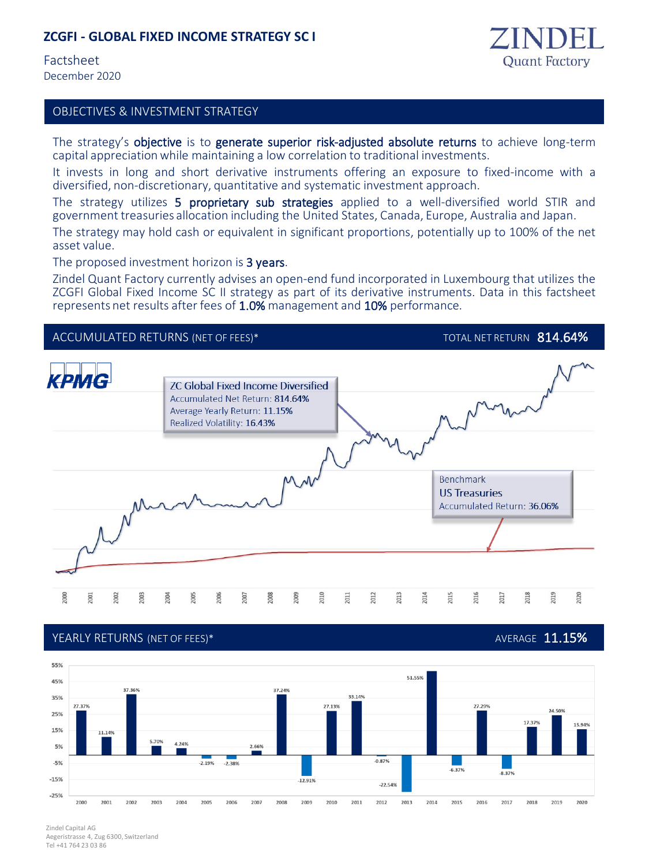## **ZCGFI - GLOBAL FIXED INCOME STRATEGY SC I**

Factsheet December 2020

asset value.



## OBJECTIVES & INVESTMENT STRATEGY

The strategy's objective is to generate superior risk-adjusted absolute returns to achieve long-term capital appreciationwhile maintaining a low correlation to traditional investments.

It invests in long and short derivative instruments offering an exposure to fixed-income with a diversified, non-discretionary, quantitative and systematic investment approach.

The strategy utilizes 5 proprietary sub strategies applied to a well-diversified world STIR and government treasuries allocation including the United States, Canada, Europe, Australia and Japan. The strategy may hold cash or equivalent in significant proportions, potentially up to 100% of the net

The proposed investment horizon is 3 years.

Zindel Quant Factory currently advises an open-end fund incorporated in Luxembourg that utilizes the ZCGFI Global Fixed Income SC II strategy as part of its derivative instruments. Data in this factsheet represents net results after fees of 1.0% management and 10% performance.



## YEARLY RETURNS (NET OF FEES)\* AVERAGE 11.15**%**



Zindel Capital AG Aegeristrasse 4, Zug 6300, Switzerland Tel +41 764 23 03 86